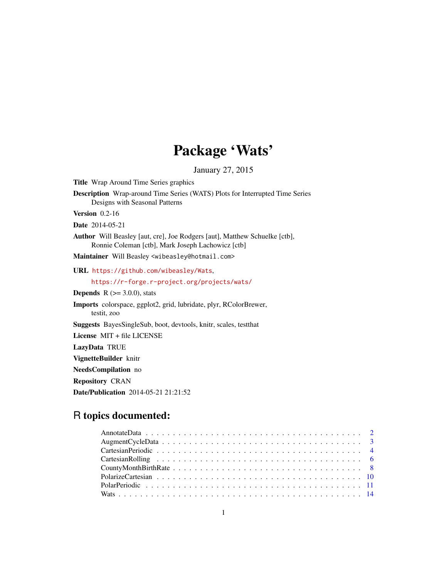# Package 'Wats'

January 27, 2015

Title Wrap Around Time Series graphics

Description Wrap-around Time Series (WATS) Plots for Interrupted Time Series Designs with Seasonal Patterns

Version 0.2-16

Date 2014-05-21

Author Will Beasley [aut, cre], Joe Rodgers [aut], Matthew Schuelke [ctb], Ronnie Coleman [ctb], Mark Joseph Lachowicz [ctb]

Maintainer Will Beasley <wibeasley@hotmail.com>

URL <https://github.com/wibeasley/Wats>,

<https://r-forge.r-project.org/projects/wats/>

**Depends** R  $(>= 3.0.0)$ , stats

Imports colorspace, ggplot2, grid, lubridate, plyr, RColorBrewer, testit, zoo

Suggests BayesSingleSub, boot, devtools, knitr, scales, testthat

License MIT + file LICENSE

LazyData TRUE

VignetteBuilder knitr

NeedsCompilation no

Repository CRAN

Date/Publication 2014-05-21 21:21:52

# R topics documented: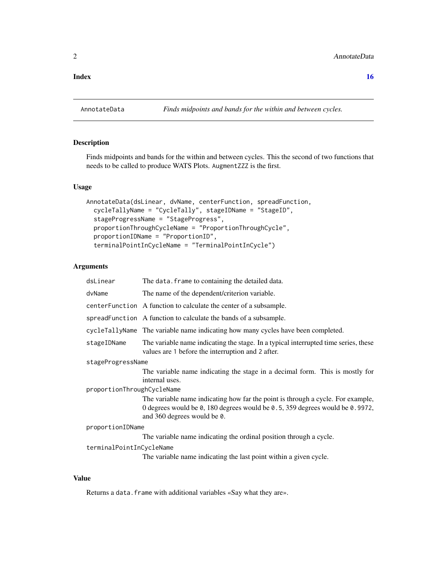#### <span id="page-1-0"></span>**Index** the contract of the contract of the contract of the contract of the contract of the contract of the contract of the contract of the contract of the contract of the contract of the contract of the contract of the co

# Description

Finds midpoints and bands for the within and between cycles. This the second of two functions that needs to be called to produce WATS Plots. AugmentZZZ is the first.

#### Usage

```
AnnotateData(dsLinear, dvName, centerFunction, spreadFunction,
  cycleTallyName = "CycleTally", stageIDName = "StageID",
  stageProgressName = "StageProgress",
  proportionThroughCycleName = "ProportionThroughCycle",
  proportionIDName = "ProportionID",
  terminalPointInCycleName = "TerminalPointInCycle")
```
# Arguments

| dsLinear                   | The data. frame to containing the detailed data.                                                                                                                                               |
|----------------------------|------------------------------------------------------------------------------------------------------------------------------------------------------------------------------------------------|
| dvName                     | The name of the dependent/criterion variable.                                                                                                                                                  |
|                            | centerFunction A function to calculate the center of a subsample.                                                                                                                              |
|                            | spreadFunction A function to calculate the bands of a subsample.                                                                                                                               |
|                            | cycleTallyName The variable name indicating how many cycles have been completed.                                                                                                               |
| stageIDName                | The variable name indicating the stage. In a typical interrupted time series, these<br>values are 1 before the interruption and 2 after.                                                       |
| stageProgressName          |                                                                                                                                                                                                |
|                            | The variable name indicating the stage in a decimal form. This is mostly for<br>internal uses.                                                                                                 |
| proportionThroughCycleName |                                                                                                                                                                                                |
|                            | The variable name indicating how far the point is through a cycle. For example,<br>0 degrees would be 0, 180 degrees would be 0.5, 359 degrees would be 0.9972,<br>and 360 degrees would be 0. |
| proportionIDName           |                                                                                                                                                                                                |
|                            | The variable name indicating the ordinal position through a cycle.                                                                                                                             |
| terminalPointInCycleName   |                                                                                                                                                                                                |
|                            | The variable name indicating the last point within a given cycle.                                                                                                                              |

# Value

Returns a data.frame with additional variables «Say what they are».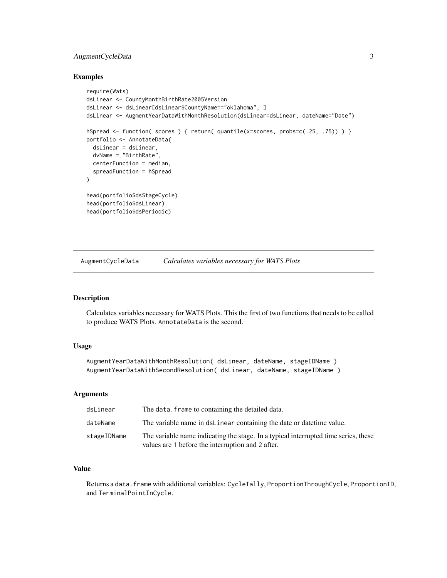# <span id="page-2-0"></span>AugmentCycleData 3

#### Examples

```
require(Wats)
dsLinear <- CountyMonthBirthRate2005Version
dsLinear <- dsLinear[dsLinear$CountyName=="oklahoma", ]
dsLinear <- AugmentYearDataWithMonthResolution(dsLinear=dsLinear, dateName="Date")
hSpread <- function( scores ) { return( quantile(x=scores, probs=c(.25, .75)) ) }
portfolio <- AnnotateData(
 dsLinear = dsLinear,
 dvName = "BirthRate",
 centerFunction = median,
 spreadFunction = hSpread
)
head(portfolio$dsStageCycle)
head(portfolio$dsLinear)
head(portfolio$dsPeriodic)
```
AugmentCycleData *Calculates variables necessary for WATS Plots*

# Description

Calculates variables necessary for WATS Plots. This the first of two functions that needs to be called to produce WATS Plots. AnnotateData is the second.

# Usage

```
AugmentYearDataWithMonthResolution( dsLinear, dateName, stageIDName )
AugmentYearDataWithSecondResolution( dsLinear, dateName, stageIDName )
```
#### **Arguments**

| dsLinear    | The data. Frame to containing the detailed data.                                                                                         |
|-------------|------------------------------------------------------------------------------------------------------------------------------------------|
| dateName    | The variable name in dsLinear containing the date or date time value.                                                                    |
| stageIDName | The variable name indicating the stage. In a typical interrupted time series, these<br>values are 1 before the interruption and 2 after. |

# Value

Returns a data.frame with additional variables: CycleTally, ProportionThroughCycle, ProportionID, and TerminalPointInCycle.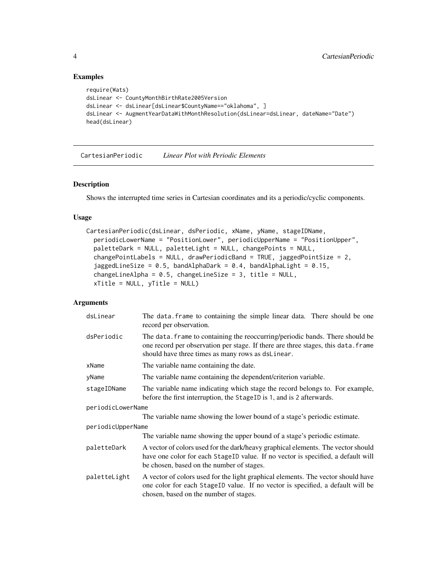# Examples

```
require(Wats)
dsLinear <- CountyMonthBirthRate2005Version
dsLinear <- dsLinear[dsLinear$CountyName=="oklahoma", ]
dsLinear <- AugmentYearDataWithMonthResolution(dsLinear=dsLinear, dateName="Date")
head(dsLinear)
```
CartesianPeriodic *Linear Plot with Periodic Elements*

# Description

Shows the interrupted time series in Cartesian coordinates and its a periodic/cyclic components.

# Usage

```
CartesianPeriodic(dsLinear, dsPeriodic, xName, yName, stageIDName,
  periodicLowerName = "PositionLower", periodicUpperName = "PositionUpper",
  paletteDark = NULL, paletteLight = NULL, changePoints = NULL,
  changePointLabels = NULL, drawPeriodicBand = TRUE, jaggedPointSize = 2,
  jaggedLineSize = 0.5, bandAlphaDark = 0.4, bandAlphaLight = 0.15,
  changeLineAlpha = 0.5, changeLineSize = 3, title = NULL,
  xTitle = NULL, yTitle = NULL)
```

| dsLinear          | The data. frame to containing the simple linear data. There should be one<br>record per observation.                                                                                                                    |
|-------------------|-------------------------------------------------------------------------------------------------------------------------------------------------------------------------------------------------------------------------|
| dsPeriodic        | The data. frame to containing the reoccurring/periodic bands. There should be<br>one record per observation per stage. If there are three stages, this data. frame<br>should have three times as many rows as dsLinear. |
| xName             | The variable name containing the date.                                                                                                                                                                                  |
| yName             | The variable name containing the dependent/criterion variable.                                                                                                                                                          |
| stageIDName       | The variable name indicating which stage the record belongs to. For example,<br>before the first interruption, the StageID is 1, and is 2 afterwards.                                                                   |
| periodicLowerName |                                                                                                                                                                                                                         |
|                   | The variable name showing the lower bound of a stage's periodic estimate.                                                                                                                                               |
| periodicUpperName |                                                                                                                                                                                                                         |
|                   | The variable name showing the upper bound of a stage's periodic estimate.                                                                                                                                               |
| paletteDark       | A vector of colors used for the dark/heavy graphical elements. The vector should<br>have one color for each StageID value. If no vector is specified, a default will<br>be chosen, based on the number of stages.       |
| paletteLight      | A vector of colors used for the light graphical elements. The vector should have<br>one color for each StageID value. If no vector is specified, a default will be<br>chosen, based on the number of stages.            |

<span id="page-3-0"></span>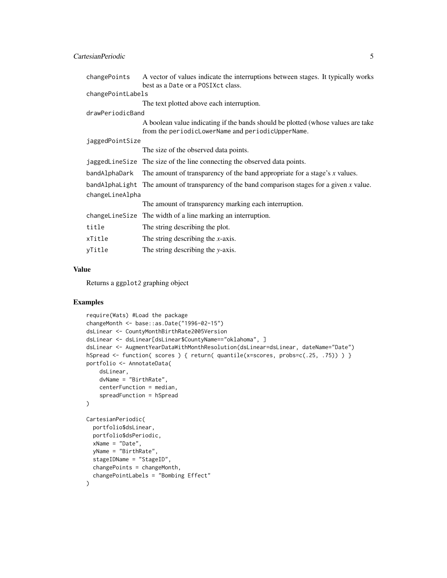| changePoints      | A vector of values indicate the interruptions between stages. It typically works                                                      |
|-------------------|---------------------------------------------------------------------------------------------------------------------------------------|
|                   | best as a Date or a POSIX ct class.                                                                                                   |
| changePointLabels |                                                                                                                                       |
|                   | The text plotted above each interruption.                                                                                             |
| drawPeriodicBand  |                                                                                                                                       |
|                   | A boolean value indicating if the bands should be plotted (whose values are take<br>from the periodicLowerName and periodicUpperName. |
| jaggedPointSize   |                                                                                                                                       |
|                   | The size of the observed data points.                                                                                                 |
|                   | jaggedLineSize The size of the line connecting the observed data points.                                                              |
|                   | bandAlphaDark The amount of transparency of the band appropriate for a stage's $x$ values.                                            |
|                   | bandAlphaLight The amount of transparency of the band comparison stages for a given x value.                                          |
| changeLineAlpha   |                                                                                                                                       |
|                   | The amount of transparency marking each interruption.                                                                                 |
|                   | changeLineSize The width of a line marking an interruption.                                                                           |
| title             | The string describing the plot.                                                                                                       |
| xTitle            | The string describing the $x$ -axis.                                                                                                  |
| vTitle            | The string describing the y-axis.                                                                                                     |

# Value

Returns a ggplot2 graphing object

### Examples

```
require(Wats) #Load the package
changeMonth <- base::as.Date("1996-02-15")
dsLinear <- CountyMonthBirthRate2005Version
dsLinear <- dsLinear[dsLinear$CountyName=="oklahoma", ]
dsLinear <- AugmentYearDataWithMonthResolution(dsLinear=dsLinear, dateName="Date")
hSpread <- function( scores ) { return( quantile(x=scores, probs=c(.25, .75)) ) }
portfolio <- AnnotateData(
   dsLinear,
   dvName = "BirthRate",
   centerFunction = median,
    spreadFunction = hSpread
\mathcal{L}CartesianPeriodic(
  portfolio$dsLinear,
  portfolio$dsPeriodic,
  xName = "Date",
  yName = "BirthRate",
  stageIDName = "StageID",
  changePoints = changeMonth,
  changePointLabels = "Bombing Effect"
)
```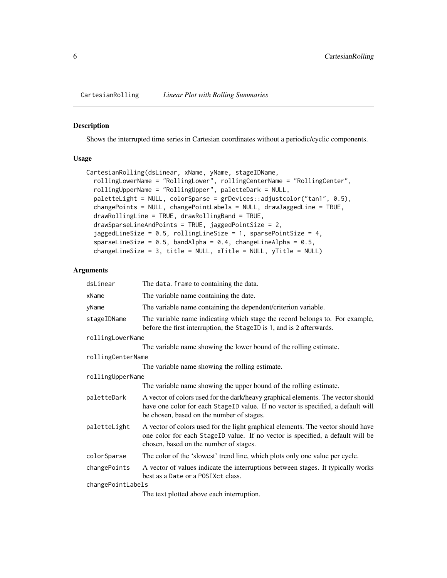#### <span id="page-5-0"></span>Description

Shows the interrupted time series in Cartesian coordinates without a periodic/cyclic components.

#### Usage

```
CartesianRolling(dsLinear, xName, yName, stageIDName,
  rollingLowerName = "RollingLower", rollingCenterName = "RollingCenter",
  rollingUpperName = "RollingUpper", paletteDark = NULL,
 paletteLight = NULL, colorSparse = grDevices::adjustcolor("tan1", 0.5),
  changePoints = NULL, changePointLabels = NULL, drawJaggedLine = TRUE,
  drawRollingLine = TRUE, drawRollingBand = TRUE,
  drawSparseLineAndPoints = TRUE, jaggedPointSize = 2,
  jaggedLineSize = 0.5, rollingLineSize = 1, sparsePointSize = 4,
  sparseLineSize = 0.5, bandAlpha = 0.4, changeLineAlpha = 0.5,
  changeLineSize = 3, title = NULL, xTitle = NULL, yTitle = NULL)
```

| dsLinear          | The data. frame to containing the data.                                                                                                                                                                           |
|-------------------|-------------------------------------------------------------------------------------------------------------------------------------------------------------------------------------------------------------------|
| xName             | The variable name containing the date.                                                                                                                                                                            |
| yName             | The variable name containing the dependent/criterion variable.                                                                                                                                                    |
| stageIDName       | The variable name indicating which stage the record belongs to. For example,<br>before the first interruption, the StageID is 1, and is 2 afterwards.                                                             |
| rollingLowerName  |                                                                                                                                                                                                                   |
|                   | The variable name showing the lower bound of the rolling estimate.                                                                                                                                                |
| rollingCenterName |                                                                                                                                                                                                                   |
|                   | The variable name showing the rolling estimate.                                                                                                                                                                   |
| rollingUpperName  |                                                                                                                                                                                                                   |
|                   | The variable name showing the upper bound of the rolling estimate.                                                                                                                                                |
| paletteDark       | A vector of colors used for the dark/heavy graphical elements. The vector should<br>have one color for each StageID value. If no vector is specified, a default will<br>be chosen, based on the number of stages. |
| paletteLight      | A vector of colors used for the light graphical elements. The vector should have<br>one color for each StageID value. If no vector is specified, a default will be<br>chosen, based on the number of stages.      |
| colorSparse       | The color of the 'slowest' trend line, which plots only one value per cycle.                                                                                                                                      |
| changePoints      | A vector of values indicate the interruptions between stages. It typically works<br>best as a Date or a POSIXct class.                                                                                            |
| changePointLabels |                                                                                                                                                                                                                   |
|                   | The text plotted above each interruption.                                                                                                                                                                         |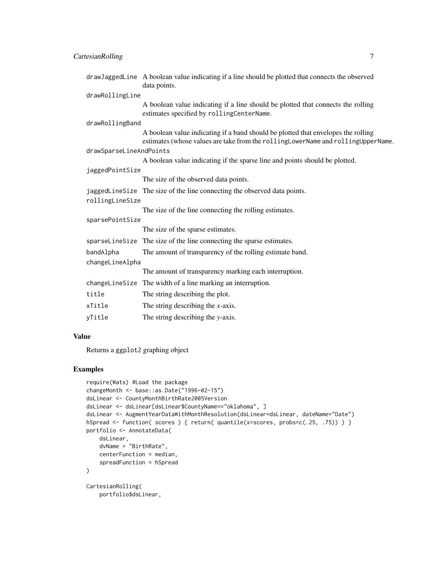| drawJaggedLine A boolean value indicating if a line should be plotted that connects the observed<br>data points.                                                      |  |
|-----------------------------------------------------------------------------------------------------------------------------------------------------------------------|--|
| drawRollingLine                                                                                                                                                       |  |
| A boolean value indicating if a line should be plotted that connects the rolling<br>estimates specified by rollingCenterName.                                         |  |
| drawRollingBand                                                                                                                                                       |  |
| A boolean value indicating if a band should be plotted that envelopes the rolling<br>estimates (whose values are take from the rollingLowerName and rollingUpperName. |  |
| drawSparseLineAndPoints                                                                                                                                               |  |
| A boolean value indicating if the sparse line and points should be plotted.                                                                                           |  |
| jaggedPointSize                                                                                                                                                       |  |
| The size of the observed data points.                                                                                                                                 |  |
| jaggedLineSize The size of the line connecting the observed data points.                                                                                              |  |
| rollingLineSize                                                                                                                                                       |  |
| The size of the line connecting the rolling estimates.                                                                                                                |  |
| sparsePointSize                                                                                                                                                       |  |
| The size of the sparse estimates.                                                                                                                                     |  |
| sparseline Size The size of the line connecting the sparse estimates.                                                                                                 |  |
| The amount of transparency of the rolling estimate band.                                                                                                              |  |
| changeLineAlpha                                                                                                                                                       |  |
| The amount of transparency marking each interruption.                                                                                                                 |  |
| The width of a line marking an interruption.                                                                                                                          |  |
| The string describing the plot.                                                                                                                                       |  |
| The string describing the $x$ -axis.                                                                                                                                  |  |
| The string describing the y-axis.                                                                                                                                     |  |
|                                                                                                                                                                       |  |

# Value

Returns a ggplot2 graphing object

# Examples

```
require(Wats) #Load the package
changeMonth <- base::as.Date("1996-02-15")
dsLinear <- CountyMonthBirthRate2005Version
dsLinear <- dsLinear[dsLinear$CountyName=="oklahoma", ]
dsLinear <- AugmentYearDataWithMonthResolution(dsLinear=dsLinear, dateName="Date")
hSpread <- function( scores ) { return( quantile(x=scores, probs=c(.25, .75)) ) }
portfolio <- AnnotateData(
   dsLinear,
   dvName = "BirthRate",
   centerFunction = median,
    spreadFunction = hSpread
)
CartesianRolling(
   portfolio$dsLinear,
```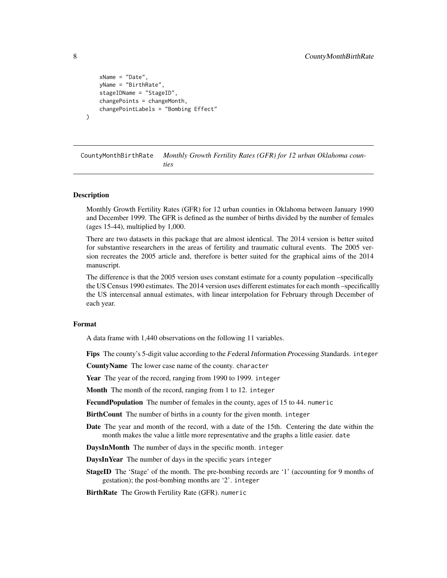```
xName = "Date",
    yName = "BirthRate",
    stageIDName = "StageID",
    changePoints = changeMonth,
    changePointLabels = "Bombing Effect"
)
```
CountyMonthBirthRate *Monthly Growth Fertility Rates (GFR) for 12 urban Oklahoma counties*

#### Description

Monthly Growth Fertility Rates (GFR) for 12 urban counties in Oklahoma between January 1990 and December 1999. The GFR is defined as the number of births divided by the number of females (ages 15-44), multiplied by 1,000.

There are two datasets in this package that are almost identical. The 2014 version is better suited for substantive researchers in the areas of fertility and traumatic cultural events. The 2005 version recreates the 2005 article and, therefore is better suited for the graphical aims of the 2014 manuscript.

The difference is that the 2005 version uses constant estimate for a county population –specifically the US Census 1990 estimates. The 2014 version uses different estimates for each month –specificallly the US intercensal annual estimates, with linear interpolation for February through December of each year.

#### Format

A data frame with 1,440 observations on the following 11 variables.

Fips The county's 5-digit value according to the *F*ederal *I*nformation *P*rocessing *S*tandards. integer

CountyName The lower case name of the county. character

Year The year of the record, ranging from 1990 to 1999. integer

Month The month of the record, ranging from 1 to 12. integer

Fecund Population The number of females in the county, ages of 15 to 44. numeric

BirthCount The number of births in a county for the given month. integer

Date The year and month of the record, with a date of the 15th. Centering the date within the month makes the value a little more representative and the graphs a little easier. date

DaysInMonth The number of days in the specific month. integer

DaysInYear The number of days in the specific years integer

StageID The 'Stage' of the month. The pre-bombing records are '1' (accounting for 9 months of gestation); the post-bombing months are '2'. integer

BirthRate The Growth Fertility Rate (GFR). numeric

<span id="page-7-0"></span>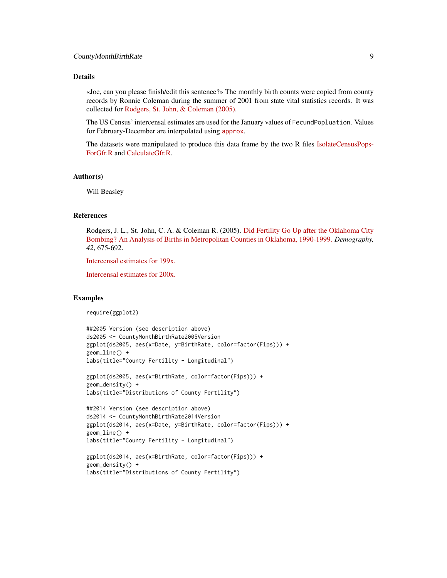# Details

«Joe, can you please finish/edit this sentence?» The monthly birth counts were copied from county records by Ronnie Coleman during the summer of 2001 from state vital statistics records. It was collected for [Rodgers, St. John, & Coleman \(2005\).](http://www.ncbi.nlm.nih.gov/pubmed/16463916)

The US Census' intercensal estimates are used for the January values of FecundPopluation. Values for February-December are interpolated using [approx](http://stat.ethz.ch/R-manual/R-devel/library/stats/html/approxfun.html).

The datasets were manipulated to produce this data frame by the two R files [IsolateCensusPops-](https://github.com/wibeasley/Wats/blob/master/UtilityScripts/IsolateCensusPopsForGfr.R)[ForGfr.R](https://github.com/wibeasley/Wats/blob/master/UtilityScripts/IsolateCensusPopsForGfr.R) and [CalculateGfr.R.](https://github.com/wibeasley/Wats/blob/master/UtilityScripts/CalculateGfr.R)

#### Author(s)

Will Beasley

#### References

Rodgers, J. L., St. John, C. A. & Coleman R. (2005). [Did Fertility Go Up after the Oklahoma City](http://www.ncbi.nlm.nih.gov/pubmed/16463916) [Bombing? An Analysis of Births in Metropolitan Counties in Oklahoma, 1990-1999.](http://www.ncbi.nlm.nih.gov/pubmed/16463916) *Demography, 42*, 675-692.

[Intercensal estimates for 199x.](http://www.census.gov/popest/data/intercensal/st-co/characteristics.html)

[Intercensal estimates for 200x.](http://www.census.gov/popest/data/intercensal/county/county2010.html)

#### Examples

require(ggplot2)

```
##2005 Version (see description above)
ds2005 <- CountyMonthBirthRate2005Version
ggplot(ds2005, aes(x=Date, y=BirthRate, color=factor(Fips))) +
geom_line() +
labs(title="County Fertility - Longitudinal")
```

```
ggplot(ds2005, aes(x=BirthRate, color=factor(Fips))) +
geom_density() +
labs(title="Distributions of County Fertility")
```

```
##2014 Version (see description above)
ds2014 <- CountyMonthBirthRate2014Version
ggplot(ds2014, aes(x=Date, y=BirthRate, color=factor(Fips))) +
geom_line() +
labs(title="County Fertility - Longitudinal")
```

```
ggplot(ds2014, aes(x=BirthRate, color=factor(Fips))) +
geom_density() +
labs(title="Distributions of County Fertility")
```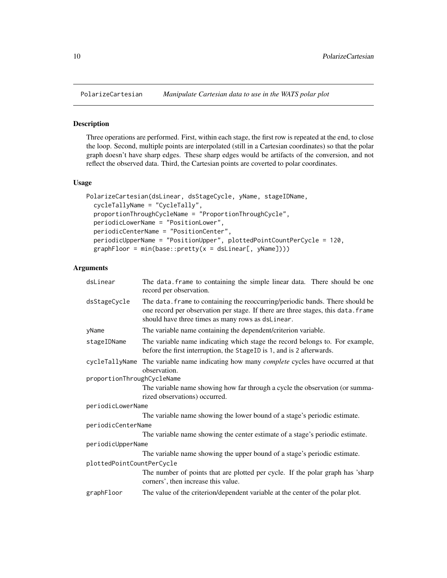<span id="page-9-0"></span>

# Description

Three operations are performed. First, within each stage, the first row is repeated at the end, to close the loop. Second, multiple points are interpolated (still in a Cartesian coordinates) so that the polar graph doesn't have sharp edges. These sharp edges would be artifacts of the conversion, and not reflect the observed data. Third, the Cartesian points are coverted to polar coordinates.

#### Usage

```
PolarizeCartesian(dsLinear, dsStageCycle, yName, stageIDName,
  cycleTallyName = "CycleTally",
  proportionThroughCycleName = "ProportionThroughCycle",
 periodicLowerName = "PositionLower",
  periodicCenterName = "PositionCenter",
 periodicUpperName = "PositionUpper", plottedPointCountPerCycle = 120,
 graphFloor = min(base::pretty(x = dsLinear[, yName]))
```

| dsLinear                   | The data frame to containing the simple linear data. There should be one<br>record per observation.                                                                                                                     |
|----------------------------|-------------------------------------------------------------------------------------------------------------------------------------------------------------------------------------------------------------------------|
| dsStageCycle               | The data. frame to containing the reoccurring/periodic bands. There should be<br>one record per observation per stage. If there are three stages, this data. frame<br>should have three times as many rows as dsLinear. |
| yName                      | The variable name containing the dependent/criterion variable.                                                                                                                                                          |
| stageIDName                | The variable name indicating which stage the record belongs to. For example,<br>before the first interruption, the StageID is 1, and is 2 afterwards.                                                                   |
|                            | cycleTallyName The variable name indicating how many <i>complete</i> cycles have occurred at that<br>observation.                                                                                                       |
| proportionThroughCycleName |                                                                                                                                                                                                                         |
|                            | The variable name showing how far through a cycle the observation (or summa-<br>rized observations) occurred.                                                                                                           |
| periodicLowerName          |                                                                                                                                                                                                                         |
|                            | The variable name showing the lower bound of a stage's periodic estimate.                                                                                                                                               |
| periodicCenterName         |                                                                                                                                                                                                                         |
|                            | The variable name showing the center estimate of a stage's periodic estimate.                                                                                                                                           |
| periodicUpperName          |                                                                                                                                                                                                                         |
|                            | The variable name showing the upper bound of a stage's periodic estimate.                                                                                                                                               |
| plottedPointCountPerCycle  |                                                                                                                                                                                                                         |
|                            | The number of points that are plotted per cycle. If the polar graph has 'sharp'<br>corners', then increase this value.                                                                                                  |
| graphFloor                 | The value of the criterion/dependent variable at the center of the polar plot.                                                                                                                                          |
|                            |                                                                                                                                                                                                                         |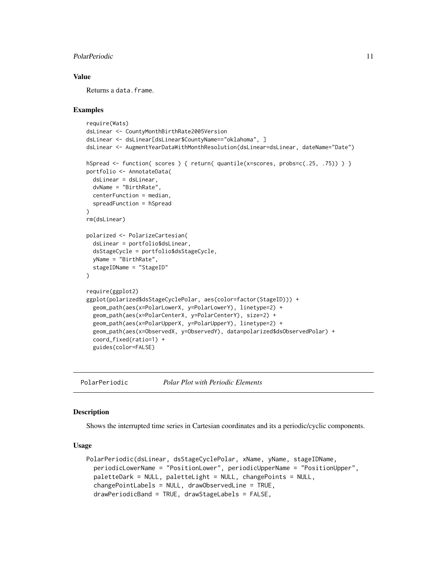#### <span id="page-10-0"></span>PolarPeriodic 11

### Value

Returns a data.frame.

#### Examples

```
require(Wats)
dsLinear <- CountyMonthBirthRate2005Version
dsLinear <- dsLinear[dsLinear$CountyName=="oklahoma", ]
dsLinear <- AugmentYearDataWithMonthResolution(dsLinear=dsLinear, dateName="Date")
hSpread \le function( scores ) { return( quantile(x=scores, probs=c(.25, .75)) ) }
portfolio <- AnnotateData(
 dsLinear = dsLinear,
 dvName = "BirthRate",
 centerFunction = median,
 spreadFunction = hSpread
\lambdarm(dsLinear)
polarized <- PolarizeCartesian(
 dsLinear = portfolio$dsLinear,
 dsStageCycle = portfolio$dsStageCycle,
 yName = "BirthRate",
 stageIDName = "StageID"
)
require(ggplot2)
ggplot(polarized$dsStageCyclePolar, aes(color=factor(StageID))) +
 geom_path(aes(x=PolarLowerX, y=PolarLowerY), linetype=2) +
 geom_path(aes(x=PolarCenterX, y=PolarCenterY), size=2) +
 geom_path(aes(x=PolarUpperX, y=PolarUpperY), linetype=2) +
 geom_path(aes(x=ObservedX, y=ObservedY), data=polarized$dsObservedPolar) +
 coord_fixed(ratio=1) +
 guides(color=FALSE)
```
PolarPeriodic *Polar Plot with Periodic Elements*

#### **Description**

Shows the interrupted time series in Cartesian coordinates and its a periodic/cyclic components.

#### Usage

```
PolarPeriodic(dsLinear, dsStageCyclePolar, xName, yName, stageIDName,
  periodicLowerName = "PositionLower", periodicUpperName = "PositionUpper",
 paletteDark = NULL, paletteLight = NULL, changePoints = NULL,
  changePointLabels = NULL, drawObservedLine = TRUE,
  drawPeriodicBand = TRUE, drawStageLabels = FALSE,
```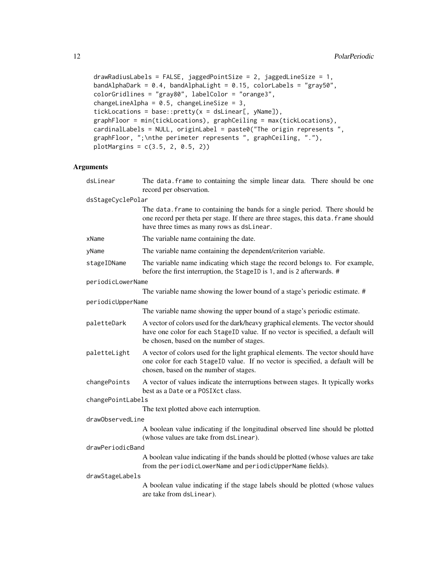```
drawRadiusLabels = FALSE, jaggedPointSize = 2, jaggedLineSize = 1,
bandAlphaDark = 0.4, bandAlphaLight = 0.15, colorLabels = "gray50",
colorGridlines = "gray80", labelColor = "orange3",
changeLineAlpha = 0.5, changeLineSize = 3,
tickLocations = base::pretry(x = dsLinear[, yName]),graphFloor = min(tickLocations), graphCeiling = max(tickLocations),
cardinalLabels = NULL, originLabel = paste0("The origin represents ",
graphFloor, ";\nthe perimeter represents ", graphCeiling, "."),
plotMargins = c(3.5, 2, 0.5, 2))
```

| dsLinear          | The data. frame to containing the simple linear data. There should be one<br>record per observation.                                                                                                              |
|-------------------|-------------------------------------------------------------------------------------------------------------------------------------------------------------------------------------------------------------------|
| dsStageCyclePolar |                                                                                                                                                                                                                   |
|                   | The data. frame to containing the bands for a single period. There should be<br>one record per theta per stage. If there are three stages, this data. frame should<br>have three times as many rows as dsLinear.  |
| xName             | The variable name containing the date.                                                                                                                                                                            |
| yName             | The variable name containing the dependent/criterion variable.                                                                                                                                                    |
| stageIDName       | The variable name indicating which stage the record belongs to. For example,<br>before the first interruption, the StageID is 1, and is 2 afterwards. #                                                           |
| periodicLowerName |                                                                                                                                                                                                                   |
|                   | The variable name showing the lower bound of a stage's periodic estimate. #                                                                                                                                       |
| periodicUpperName |                                                                                                                                                                                                                   |
|                   | The variable name showing the upper bound of a stage's periodic estimate.                                                                                                                                         |
| paletteDark       | A vector of colors used for the dark/heavy graphical elements. The vector should<br>have one color for each StageID value. If no vector is specified, a default will<br>be chosen, based on the number of stages. |
| paletteLight      | A vector of colors used for the light graphical elements. The vector should have<br>one color for each StageID value. If no vector is specified, a default will be<br>chosen, based on the number of stages.      |
| changePoints      | A vector of values indicate the interruptions between stages. It typically works<br>best as a Date or a POSIX ct class.                                                                                           |
| changePointLabels |                                                                                                                                                                                                                   |
|                   | The text plotted above each interruption.                                                                                                                                                                         |
| drawObservedLine  |                                                                                                                                                                                                                   |
|                   | A boolean value indicating if the longitudinal observed line should be plotted<br>(whose values are take from dsLinear).                                                                                          |
| drawPeriodicBand  |                                                                                                                                                                                                                   |
|                   | A boolean value indicating if the bands should be plotted (whose values are take<br>from the periodicLowerName and periodicUpperName fields).                                                                     |
| drawStageLabels   |                                                                                                                                                                                                                   |
|                   | A boolean value indicating if the stage labels should be plotted (whose values<br>are take from dsLinear).                                                                                                        |
|                   |                                                                                                                                                                                                                   |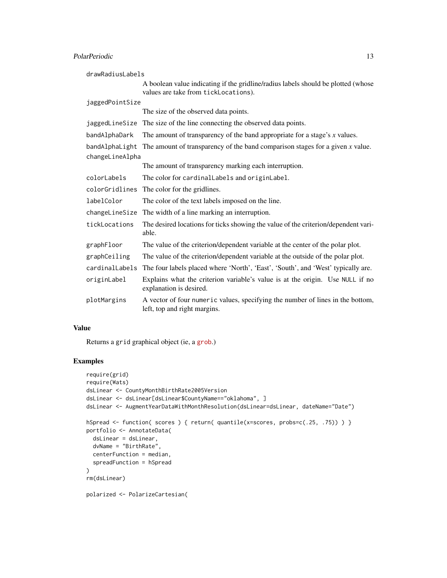# PolarPeriodic 23

| drawRadiusLabels |                                                                                                                           |
|------------------|---------------------------------------------------------------------------------------------------------------------------|
|                  | A boolean value indicating if the gridline/radius labels should be plotted (whose<br>values are take from tickLocations). |
| jaggedPointSize  |                                                                                                                           |
|                  | The size of the observed data points.                                                                                     |
|                  | jaggedLineSize The size of the line connecting the observed data points.                                                  |
| bandAlphaDark    | The amount of transparency of the band appropriate for a stage's $x$ values.                                              |
| bandAlphaLight   | The amount of transparency of the band comparison stages for a given $x$ value.                                           |
| changeLineAlpha  |                                                                                                                           |
|                  | The amount of transparency marking each interruption.                                                                     |
| colorLabels      | The color for cardinalLabels and originLabel.                                                                             |
| colorGridlines   | The color for the gridlines.                                                                                              |
| labelColor       | The color of the text labels imposed on the line.                                                                         |
| changeLineSize   | The width of a line marking an interruption.                                                                              |
| tickLocations    | The desired locations for ticks showing the value of the criterion/dependent vari-<br>able.                               |
| graphFloor       | The value of the criterion/dependent variable at the center of the polar plot.                                            |
| graphCeiling     | The value of the criterion/dependent variable at the outside of the polar plot.                                           |
| cardinalLabels   | The four labels placed where 'North', 'East', 'South', and 'West' typically are.                                          |
| originLabel      | Explains what the criterion variable's value is at the origin. Use NULL if no<br>explanation is desired.                  |
| plotMargins      | A vector of four numeric values, specifying the number of lines in the bottom,<br>left, top and right margins.            |

# Value

Returns a grid graphical object (ie, a [grob](http://stat.ethz.ch/R-manual/R-devel/library/grid/html/grid.grob.html).)

# Examples

```
require(grid)
require(Wats)
dsLinear <- CountyMonthBirthRate2005Version
dsLinear <- dsLinear[dsLinear$CountyName=="oklahoma", ]
dsLinear <- AugmentYearDataWithMonthResolution(dsLinear=dsLinear, dateName="Date")
hSpread <- function( scores ) { return( quantile(x=scores, probs=c(.25, .75)) ) }
portfolio <- AnnotateData(
  dsLinear = dsLinear,
  dvName = "BirthRate",
  centerFunction = median,
  spreadFunction = hSpread
)
rm(dsLinear)
polarized <- PolarizeCartesian(
```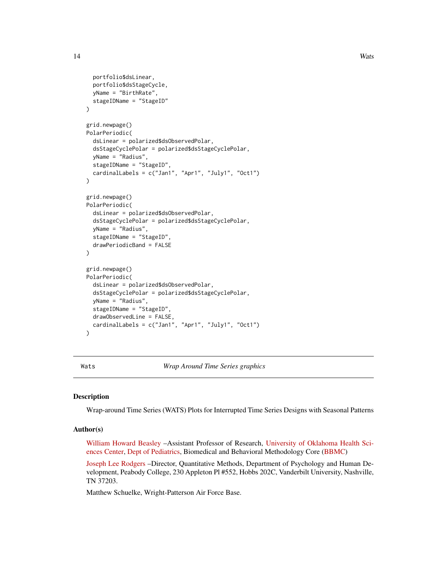```
portfolio$dsLinear,
  portfolio$dsStageCycle,
  yName = "BirthRate",
  stageIDName = "StageID"
)
grid.newpage()
PolarPeriodic(
  dsLinear = polarized$dsObservedPolar,
  dsStageCyclePolar = polarized$dsStageCyclePolar,
  yName = "Radius",
  stageIDName = "StageID",
  cardinalLabels = c("Jan1", "Apr1", "July1", "Oct1")
\lambdagrid.newpage()
PolarPeriodic(
  dsLinear = polarized$dsObservedPolar,
  dsStageCyclePolar = polarized$dsStageCyclePolar,
  yName = "Radius",
  stageIDName = "StageID",
  drawPeriodicBand = FALSE
)
grid.newpage()
PolarPeriodic(
  dsLinear = polarized$dsObservedPolar,
  dsStageCyclePolar = polarized$dsStageCyclePolar,
  yName = "Radius",
  stageIDName = "StageID",
  drawObservedLine = FALSE,
  cardinalLabels = c("Jan1", "Apr1", "July1", "Oct1")
)
```
Wats *Wrap Around Time Series graphics*

#### **Description**

Wrap-around Time Series (WATS) Plots for Interrupted Time Series Designs with Seasonal Patterns

#### Author(s)

[William Howard Beasley](http://scholar.google.com/citations?user=ffsJTC0AAAAJ) –Assistant Professor of Research, [University of Oklahoma Health Sci](http://find.ouhsc.edu/Faculty.aspx?FacultyID=1064)[ences Center,](http://find.ouhsc.edu/Faculty.aspx?FacultyID=1064) [Dept of Pediatrics,](https://www.oumedicine.com/pediatrics) Biomedical and Behavioral Methodology Core [\(BBMC\)](http://ouhsc.edu/bbmc/)

[Joseph Lee Rodgers](http://www.vanderbilt.edu/psychological_sciences/bio/joe-rodgers) –Director, Quantitative Methods, Department of Psychology and Human Development, Peabody College, 230 Appleton Pl #552, Hobbs 202C, Vanderbilt University, Nashville, TN 37203.

Matthew Schuelke, Wright-Patterson Air Force Base.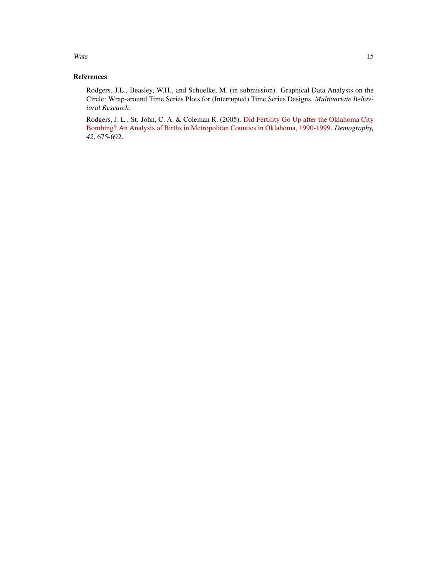#### Wats and the contract of the contract of the contract of the contract of the contract of the contract of the contract of the contract of the contract of the contract of the contract of the contract of the contract of the c

# References

Rodgers, J.L., Beasley, W.H., and Schuelke, M. (in submission). Graphical Data Analysis on the Circle: Wrap-around Time Series Plots for (Interrupted) Time Series Designs. *Multivariate Behavioral Research*.

Rodgers, J. L., St. John, C. A. & Coleman R. (2005). [Did Fertility Go Up after the Oklahoma City](http://www.ncbi.nlm.nih.gov/pubmed/16463916) [Bombing? An Analysis of Births in Metropolitan Counties in Oklahoma, 1990-1999.](http://www.ncbi.nlm.nih.gov/pubmed/16463916) *Demography, 42*, 675-692.